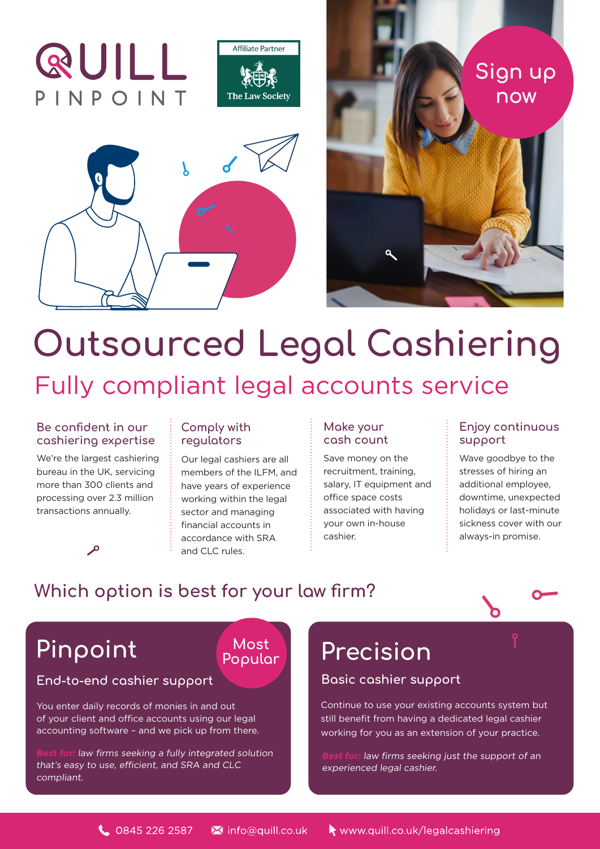







# **Outsourced Legal Cashiering**  Fully compliant legal accounts service

### **Be confident in our cashiering expertise**

We're the largest cashiering bureau in the UK, servicing more than 300 clients and processing over 2.3 million transactions annually.

 $\mathbf{a}$ 

## **Comply with regulators**

Our legal cashiers are all members of the ILFM, and have years of experience working within the legal sector and managing financial accounts in accordance with SRA and CLC rules.

> **Most Popular**

## **Make your cash count**

Save money on the recruitment, training, salary, IT equipment and office space costs associated with having your own in-house cashier.

## **Enjoy continuous support**

Wave goodbye to the stresses of hiring an additional employee, downtime, unexpected holidays or last-minute sickness cover with our always-in promise.

# **Which option is best for your law firm?**



**End-to-end cashier support Basic cashier support**

You enter daily records of monies in and out of your client and office accounts using our legal accounting software – and we pick up from there.

**Best for:** law firms seeking a fully integrated solution that's easy to use, efficient, and SRA and CLC compliant.

# **Pinpoint Precision**

Continue to use your existing accounts system but still benefit from having a dedicated legal cashier working for you as an extension of your practice.

**Best for:** law firms seeking just the support of an experienced legal cashier.